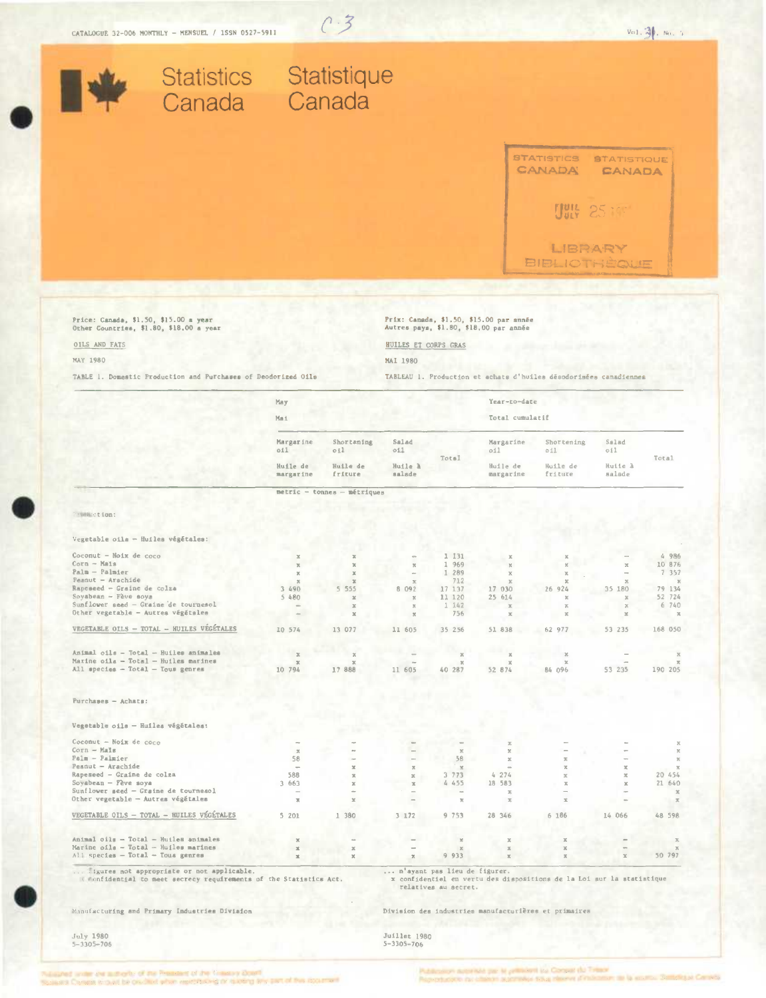

 $C.3$ 

of an article of the Pressure of the Emery Coat ant expert below that when memorialist in is own as a part of this stock